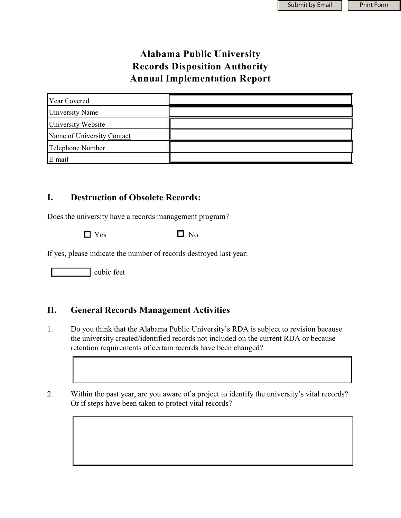## **Alabama Public University Records Disposition Authority Annual Implementation Report**

| <b>Year Covered</b>        |  |
|----------------------------|--|
| <b>University Name</b>     |  |
| University Website         |  |
| Name of University Contact |  |
| Telephone Number           |  |
| E-mail                     |  |

## **I. Destruction of Obsolete Records:**

Does the university have a records management program?

 $\Box$  Yes  $\Box$  No

If yes, please indicate the number of records destroyed last year:

cubic feet

## **II. General Records Management Activities**

- 1. Do you think that the Alabama Public University's RDA is subject to revision because the university created/identified records not included on the current RDA or because retention requirements of certain records have been changed?
- 2. Within the past year, are you aware of a project to identify the university's vital records? Or if steps have been taken to protect vital records?